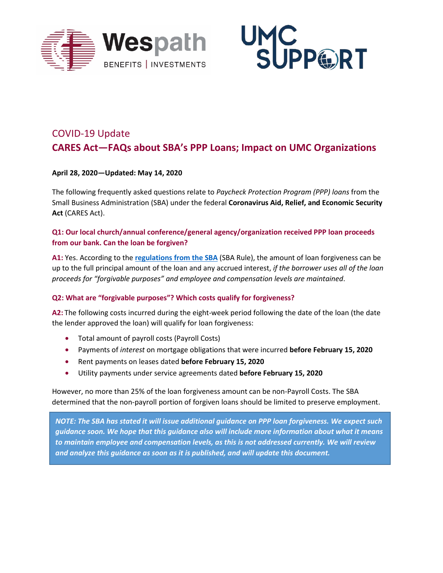



# COVID-19 Update **CARES Act—FAQs about SBA's PPP Loans; Impact on UMC Organizations**

## **April 28, 2020—Updated: May 14, 2020**

The following frequently asked questions relate to *Paycheck Protection Program (PPP) loans* from the Small Business Administration (SBA) under the federal **Coronavirus Aid, Relief, and Economic Security Act** (CARES Act).

# **Q1: Our local church/annual conference/general agency/organization received PPP loan proceeds from our bank. Can the loan be forgiven?**

**A1:** Yes. According to the **[regulations from the SBA](https://www.sba.gov/sites/default/files/2020-04/PPP%20Interim%20Final%20Rule_0.pdf)** (SBA Rule), the amount of loan forgiveness can be up to the full principal amount of the loan and any accrued interest, *if the borrower uses all of the loan proceeds for "forgivable purposes" and employee and compensation levels are maintained*.

# **Q2: What are "forgivable purposes"? Which costs qualify for forgiveness?**

**A2:** The following costs incurred during the eight-week period following the date of the loan (the date the lender approved the loan) will qualify for loan forgiveness:

- Total amount of payroll costs (Payroll Costs)
- Payments of *interest* on mortgage obligations that were incurred **before February 15, 2020**
- Rent payments on leases dated **before February 15, 2020**
- Utility payments under service agreements dated **before February 15, 2020**

However, no more than 25% of the loan forgiveness amount can be non-Payroll Costs. The SBA determined that the non-payroll portion of forgiven loans should be limited to preserve employment.

*.- NOTE: The SBA has stated it will issue additional guidance on PPP loan forgiveness. We expect such guidance soon. We hope that this guidance also will include more information about what it means to maintain employee and compensation levels, as this is not addressed currently. We will review and analyze this guidance as soon as it is published, and will update this document.*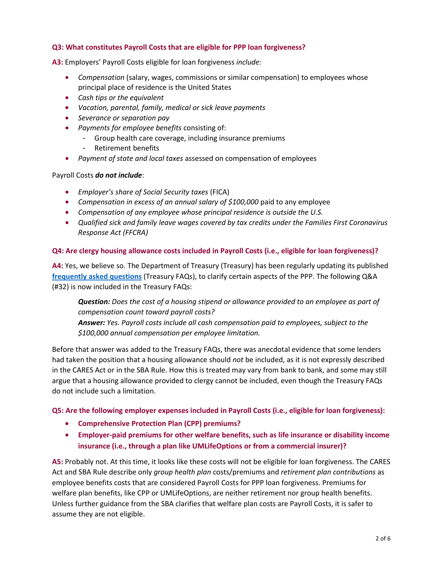## **Q3: What constitutes Payroll Costs that are eligible for PPP loan forgiveness?**

**A3:** Employers' Payroll Costs eligible for loan forgiveness *include:*

- *Compensation* (salary, wages, commissions or similar compensation) to employees whose principal place of residence is the United States
- *Cash tips or the equivalent*
- *Vacation, parental, family, medical or sick leave payments*
- *Severance or separation pay*
- *Payments for employee benefits* consisting of:
	- Group health care coverage, including insurance premiums
	- Retirement benefits
- *Payment of state and local taxes* assessed on compensation of employees

#### Payroll Costs *do not include*:

- *Employer's share of Social Security taxes* (FICA)
- *Compensation in excess of an annual salary of \$100,000* paid to any employee
- *Compensation of any employee whose principal residence is outside the U.S.*
- *Qualified sick and family leave wages covered by tax credits under the Families First Coronavirus Response Act (FFCRA)*

## **Q4: Are clergy housing allowance costs included in Payroll Costs (i.e., eligible for loan forgiveness)?**

**A4:** Yes, we believe so. The Department of Treasury (Treasury) has been regularly updating its published **[frequently asked questions](https://home.treasury.gov/system/files/136/Paycheck-Protection-Program-Frequently-Asked-Questions.pdf)** (Treasury FAQs), to clarify certain aspects of the PPP. The following Q&A (#32) is now included in the Treasury FAQs:

*Question: Does the cost of a housing stipend or allowance provided to an employee as part of compensation count toward payroll costs? Answer: Yes. Payroll costs include all cash compensation paid to employees, subject to the \$100,000 annual compensation per employee limitation.* 

Before that answer was added to the Treasury FAQs, there was anecdotal evidence that some lenders had taken the position that a housing allowance should *not* be included, as it is not expressly described in the CARES Act or in the SBA Rule. How this is treated may vary from bank to bank, and some may still argue that a housing allowance provided to clergy cannot be included, even though the Treasury FAQs do not include such a limitation.

**Q5: Are the following employer expenses included in Payroll Costs (i.e., eligible for loan forgiveness):**

- **Comprehensive Protection Plan (CPP) premiums?**
- **Employer-paid premiums for other welfare benefits, such as life insurance or disability income insurance (i.e., through a plan like UMLifeOptions or from a commercial insurer)?**

**A5:** Probably not. At this time, it looks like these costs will not be eligible for loan forgiveness. The CARES Act and SBA Rule describe only *group health plan* costs/premiums and *retirement plan contributions* as employee benefits costs that are considered Payroll Costs for PPP loan forgiveness. Premiums for welfare plan benefits, like CPP or UMLifeOptions, are neither retirement nor group health benefits. Unless further guidance from the SBA clarifies that welfare plan costs are Payroll Costs, it is safer to assume they are not eligible.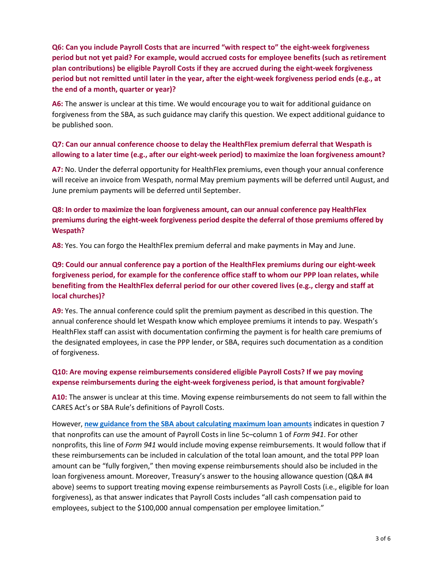**Q6: Can you include Payroll Costs that are incurred "with respect to" the eight-week forgiveness period but not yet paid? For example, would accrued costs for employee benefits (such as retirement plan contributions) be eligible Payroll Costs if they are accrued during the eight-week forgiveness period but not remitted until later in the year, after the eight-week forgiveness period ends (e.g., at the end of a month, quarter or year)?**

**A6:** The answer is unclear at this time. We would encourage you to wait for additional guidance on forgiveness from the SBA, as such guidance may clarify this question. We expect additional guidance to be published soon.

# **Q7: Can our annual conference choose to delay the HealthFlex premium deferral that Wespath is allowing to a later time (e.g., after our eight-week period) to maximize the loan forgiveness amount?**

**A7:** No. Under the deferral opportunity for HealthFlex premiums, even though your annual conference will receive an invoice from Wespath, normal May premium payments will be deferred until August, and June premium payments will be deferred until September.

# **Q8: In order to maximize the loan forgiveness amount, can our annual conference pay HealthFlex premiums during the eight-week forgiveness period despite the deferral of those premiums offered by Wespath?**

**A8:** Yes. You can forgo the HealthFlex premium deferral and make payments in May and June.

# **Q9: Could our annual conference pay a portion of the HealthFlex premiums during our eight-week forgiveness period, for example for the conference office staff to whom our PPP loan relates, while benefiting from the HealthFlex deferral period for our other covered lives (e.g., clergy and staff at local churches)?**

**A9:** Yes. The annual conference could split the premium payment as described in this question. The annual conference should let Wespath know which employee premiums it intends to pay. Wespath's HealthFlex staff can assist with documentation confirming the payment is for health care premiums of the designated employees, in case the PPP lender, or SBA, requires such documentation as a condition of forgiveness.

# **Q10: Are moving expense reimbursements considered eligible Payroll Costs? If we pay moving expense reimbursements during the eight-week forgiveness period, is that amount forgivable?**

**A10:** The answer is unclear at this time. Moving expense reimbursements do not seem to fall within the CARES Act's or SBA Rule's definitions of Payroll Costs.

However, **[new guidance from the SBA about calculating maximum loan amounts](https://home.treasury.gov/system/files/136/How-to-Calculate-Loan-Amounts.pdf)** indicates in question 7 that nonprofits can use the amount of Payroll Costs in line 5c–column 1 of *Form 941*. For other nonprofits, this line of *Form 941* would include moving expense reimbursements. It would follow that if these reimbursements can be included in calculation of the total loan amount, and the total PPP loan amount can be "fully forgiven," then moving expense reimbursements should also be included in the loan forgiveness amount. Moreover, Treasury's answer to the housing allowance question (Q&A #4 above) seems to support treating moving expense reimbursements as Payroll Costs (i.e., eligible for loan forgiveness), as that answer indicates that Payroll Costs includes "all cash compensation paid to employees, subject to the \$100,000 annual compensation per employee limitation."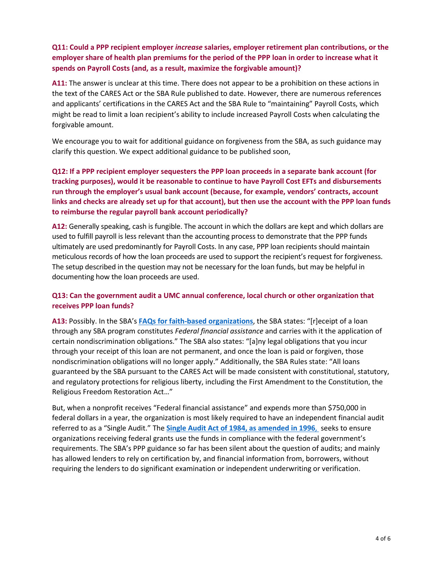# **Q11: Could a PPP recipient employer** *increase* **salaries, employer retirement plan contributions, or the employer share of health plan premiums for the period of the PPP loan in order to increase what it spends on Payroll Costs (and, as a result, maximize the forgivable amount)?**

**A11:** The answer is unclear at this time. There does not appear to be a prohibition on these actions in the text of the CARES Act or the SBA Rule published to date. However, there are numerous references and applicants' certifications in the CARES Act and the SBA Rule to "maintaining" Payroll Costs, which might be read to limit a loan recipient's ability to include increased Payroll Costs when calculating the forgivable amount.

We encourage you to wait for additional guidance on forgiveness from the SBA, as such guidance may clarify this question. We expect additional guidance to be published soon,

# **Q12: If a PPP recipient employer sequesters the PPP loan proceeds in a separate bank account (for tracking purposes), would it be reasonable to continue to have Payroll Cost EFTs and disbursements run through the employer's usual bank account (because, for example, vendors' contracts, account links and checks are already set up for that account), but then use the account with the PPP loan funds to reimburse the regular payroll bank account periodically?**

**A12:** Generally speaking, cash is fungible. The account in which the dollars are kept and which dollars are used to fulfill payroll is less relevant than the accounting process to demonstrate that the PPP funds ultimately are used predominantly for Payroll Costs. In any case, PPP loan recipients should maintain meticulous records of how the loan proceeds are used to support the recipient's request for forgiveness. The setup described in the question may not be necessary for the loan funds, but may be helpful in documenting how the loan proceeds are used.

# **Q13: Can the government audit a UMC annual conference, local church or other organization that receives PPP loan funds?**

**A13:** Possibly. In the SBA's **[FAQs for faith-based organizations](https://www.sba.gov/sites/default/files/2020-04/SBA%20Faith-Based%20FAQ%20Final.pdf)**, the SBA states: "[r]eceipt of a loan through any SBA program constitutes *Federal financial assistance* and carries with it the application of certain nondiscrimination obligations." The SBA also states: "[a]ny legal obligations that you incur through your receipt of this loan are not permanent, and once the loan is paid or forgiven, those nondiscrimination obligations will no longer apply." Additionally, the SBA Rules state: "All loans guaranteed by the SBA pursuant to the CARES Act will be made consistent with constitutional, statutory, and regulatory protections for religious liberty, including the First Amendment to the Constitution, the Religious Freedom Restoration Act…"

But, when a nonprofit receives "Federal financial assistance" and expends more than \$750,000 in federal dollars in a year, the organization is most likely required to have an independent financial audit referred to as a "Single Audit." The **[Single Audit Act of 1984, as amended in 1996](https://obamawhitehouse.archives.gov/sites/default/files/omb/assets/about_omb/104-156.pdf)**, seeks to ensure organizations receiving federal grants use the funds in compliance with the federal government's requirements. The SBA's PPP guidance so far has been silent about the question of audits; and mainly has allowed lenders to rely on certification by, and financial information from, borrowers, without requiring the lenders to do significant examination or independent underwriting or verification.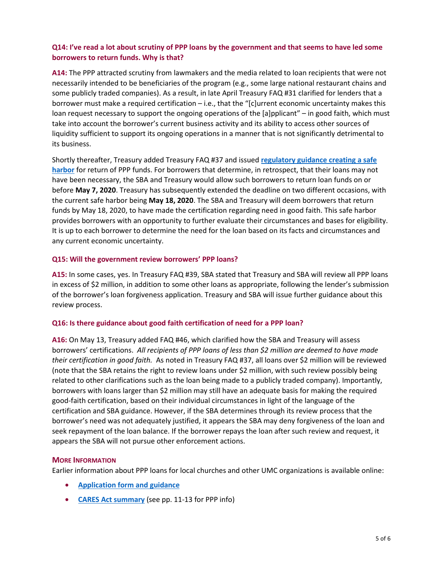# **Q14: I've read a lot about scrutiny of PPP loans by the government and that seems to have led some borrowers to return funds. Why is that?**

**A14:** The PPP attracted scrutiny from lawmakers and the media related to loan recipients that were not necessarily intended to be beneficiaries of the program (e.g., some large national restaurant chains and some publicly traded companies). As a result, in late April Treasury FAQ #31 clarified for lenders that a borrower must make a required certification – i.e., that the "[c]urrent economic uncertainty makes this loan request necessary to support the ongoing operations of the [a]pplicant" – in good faith, which must take into account the borrower's current business activity and its ability to access other sources of liquidity sufficient to support its ongoing operations in a manner that is not significantly detrimental to its business.

Shortly thereafter, Treasury added Treasury FAQ #37 and issued **[regulatory guidance creating a safe](https://www.govinfo.gov/content/pkg/FR-2020-04-28/pdf/2020-09098.pdf)  [harbor](https://www.govinfo.gov/content/pkg/FR-2020-04-28/pdf/2020-09098.pdf)** for return of PPP funds. For borrowers that determine, in retrospect, that their loans may not have been necessary, the SBA and Treasury would allow such borrowers to return loan funds on or before **May 7, 2020**. Treasury has subsequently extended the deadline on two different occasions, with the current safe harbor being **May 18, 2020**. The SBA and Treasury will deem borrowers that return funds by May 18, 2020, to have made the certification regarding need in good faith. This safe harbor provides borrowers with an opportunity to further evaluate their circumstances and bases for eligibility. It is up to each borrower to determine the need for the loan based on its facts and circumstances and any current economic uncertainty.

#### **Q15: Will the government review borrowers' PPP loans?**

**A15:** In some cases, yes. In Treasury FAQ #39, SBA stated that Treasury and SBA will review all PPP loans in excess of \$2 million, in addition to some other loans as appropriate, following the lender's submission of the borrower's loan forgiveness application. Treasury and SBA will issue further guidance about this review process.

## **Q16: Is there guidance about good faith certification of need for a PPP loan?**

**A16:** On May 13, Treasury added FAQ #46, which clarified how the SBA and Treasury will assess borrowers' certifications. *All recipients of PPP loans of less than \$2 million are deemed to have made their certification in good faith.* As noted in Treasury FAQ #37, all loans over \$2 million will be reviewed (note that the SBA retains the right to review loans under \$2 million, with such review possibly being related to other clarifications such as the loan being made to a publicly traded company). Importantly, borrowers with loans larger than \$2 million may still have an adequate basis for making the required good-faith certification, based on their individual circumstances in light of the language of the certification and SBA guidance. However, if the SBA determines through its review process that the borrower's need was not adequately justified, it appears the SBA may deny forgiveness of the loan and seek repayment of the loan balance. If the borrower repays the loan after such review and request, it appears the SBA will not pursue other enforcement actions.

#### **MORE INFORMATION**

Earlier information about PPP loans for local churches and other UMC organizations is available online:

- **[Application form and guidance](https://www.wespath.org/assets/1/7/5568.pdf)**
- **[CARES Act summary](https://www.wespath.org/assets/1/7/5559.pdf)** (see pp. 11-13 for PPP info)